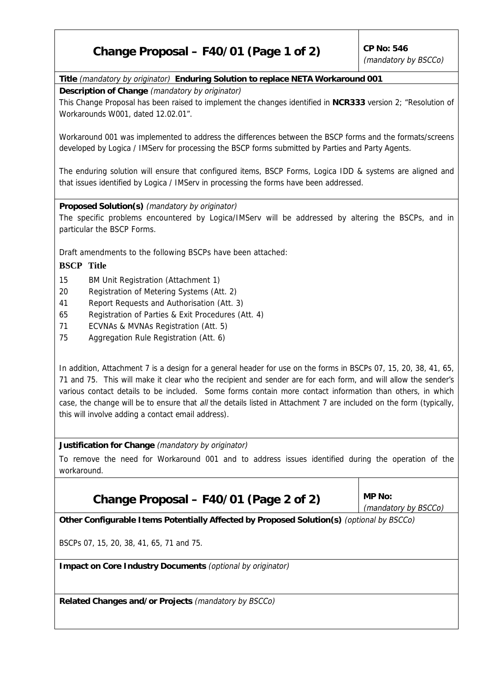# **Change Proposal – F40/01 (Page 1 of 2)**  $\vert$  CP No: 546

## **Title** (mandatory by originator) **Enduring Solution to replace NETA Workaround 001**

**Description of Change** (mandatory by originator)

This Change Proposal has been raised to implement the changes identified in **NCR333** version 2; "Resolution of Workarounds W001, dated 12.02.01".

Workaround 001 was implemented to address the differences between the BSCP forms and the formats/screens developed by Logica / IMServ for processing the BSCP forms submitted by Parties and Party Agents.

The enduring solution will ensure that configured items, BSCP Forms, Logica IDD & systems are aligned and that issues identified by Logica / IMServ in processing the forms have been addressed.

### **Proposed Solution(s)** (mandatory by originator)

The specific problems encountered by Logica/IMServ will be addressed by altering the BSCPs, and in particular the BSCP Forms.

Draft amendments to the following BSCPs have been attached:

### **BSCP Title**

- 15 BM Unit Registration (Attachment 1)
- 20 Registration of Metering Systems (Att. 2)
- 41 Report Requests and Authorisation (Att. 3)
- 65 Registration of Parties & Exit Procedures (Att. 4)
- 71 ECVNAs & MVNAs Registration (Att. 5)
- 75 Aggregation Rule Registration (Att. 6)

In addition, Attachment 7 is a design for a general header for use on the forms in BSCPs 07, 15, 20, 38, 41, 65, 71 and 75. This will make it clear who the recipient and sender are for each form, and will allow the sender's various contact details to be included. Some forms contain more contact information than others, in which case, the change will be to ensure that all the details listed in Attachment 7 are included on the form (typically, this will involve adding a contact email address).

**Justification for Change** (mandatory by originator)

To remove the need for Workaround 001 and to address issues identified during the operation of the workaround.

# Change Proposal –  $F40/01$  (Page 2 of 2) MP No:

(mandatory by BSCCo)

**Other Configurable Items Potentially Affected by Proposed Solution(s)** (optional by BSCCo)

BSCPs 07, 15, 20, 38, 41, 65, 71 and 75.

**Impact on Core Industry Documents** (optional by originator)

**Related Changes and/or Projects** (mandatory by BSCCo)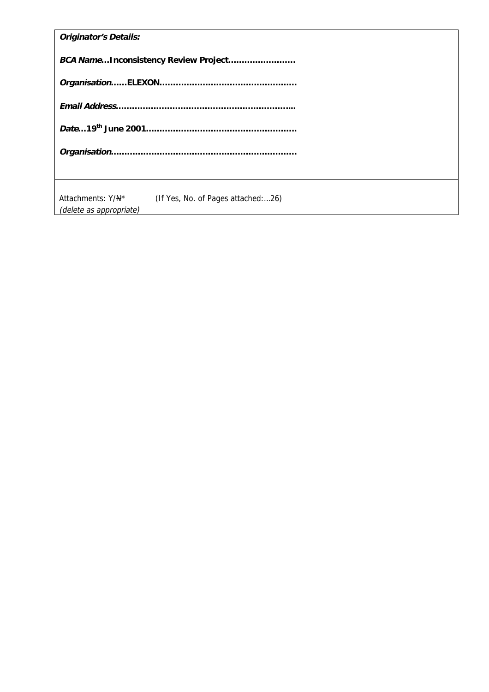| <b>Originator's Details:</b>                                                       |  |  |  |  |
|------------------------------------------------------------------------------------|--|--|--|--|
| BCA NameInconsistency Review Project                                               |  |  |  |  |
|                                                                                    |  |  |  |  |
|                                                                                    |  |  |  |  |
|                                                                                    |  |  |  |  |
|                                                                                    |  |  |  |  |
|                                                                                    |  |  |  |  |
| Attachments: Y/N*<br>(If Yes, No. of Pages attached:26)<br>(delete as appropriate) |  |  |  |  |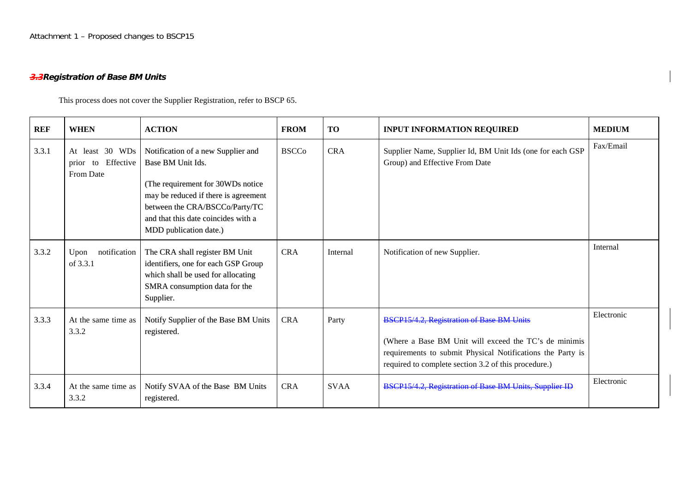Attachment 1 – Proposed changes to BSCP15

## **3.3Registration of Base BM Units**

This process does not cover the Supplier Registration, refer to BSCP 65.

| <b>REF</b> | <b>WHEN</b>                                              | <b>ACTION</b>                                                                                                                                                                                                                            | <b>FROM</b>  | <b>TO</b>   | <b>INPUT INFORMATION REQUIRED</b>                                                                                                                                                                                        | <b>MEDIUM</b> |
|------------|----------------------------------------------------------|------------------------------------------------------------------------------------------------------------------------------------------------------------------------------------------------------------------------------------------|--------------|-------------|--------------------------------------------------------------------------------------------------------------------------------------------------------------------------------------------------------------------------|---------------|
| 3.3.1      | At least 30 WDs<br>Effective<br>to<br>prior<br>From Date | Notification of a new Supplier and<br>Base BM Unit Ids.<br>(The requirement for 30WDs notice)<br>may be reduced if there is agreement<br>between the CRA/BSCCo/Party/TC<br>and that this date coincides with a<br>MDD publication date.) | <b>BSCCo</b> | <b>CRA</b>  | Supplier Name, Supplier Id, BM Unit Ids (one for each GSP<br>Group) and Effective From Date                                                                                                                              | Fax/Email     |
| 3.3.2      | Upon<br>notification<br>of 3.3.1                         | The CRA shall register BM Unit<br>identifiers, one for each GSP Group<br>which shall be used for allocating<br>SMRA consumption data for the<br>Supplier.                                                                                | <b>CRA</b>   | Internal    | Notification of new Supplier.                                                                                                                                                                                            | Internal      |
| 3.3.3      | At the same time as<br>3.3.2                             | Notify Supplier of the Base BM Units<br>registered.                                                                                                                                                                                      | <b>CRA</b>   | Party       | BSCP15/4.2, Registration of Base BM Units<br>(Where a Base BM Unit will exceed the TC's de minimis<br>requirements to submit Physical Notifications the Party is<br>required to complete section 3.2 of this procedure.) | Electronic    |
| 3.3.4      | At the same time as<br>3.3.2                             | Notify SVAA of the Base BM Units<br>registered.                                                                                                                                                                                          | <b>CRA</b>   | <b>SVAA</b> | BSCP15/4.2, Registration of Base BM Units, Supplier ID                                                                                                                                                                   | Electronic    |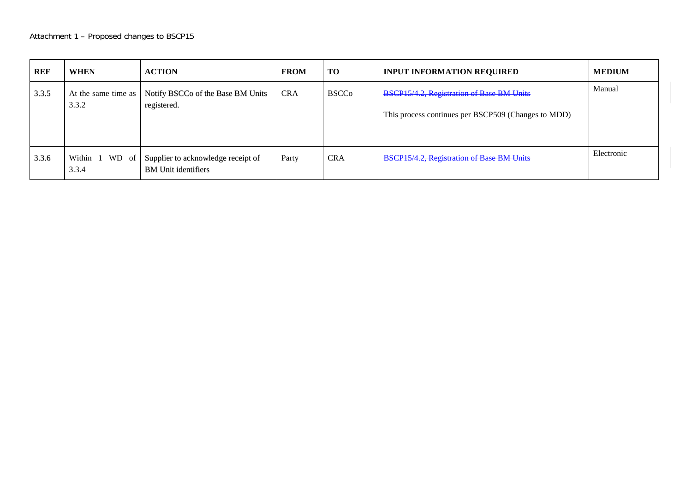| <b>REF</b> | <b>WHEN</b>                  | <b>ACTION</b>                                                    | <b>FROM</b> | <b>TO</b>    | <b>INPUT INFORMATION REQUIRED</b>                                                                       | <b>MEDIUM</b> |
|------------|------------------------------|------------------------------------------------------------------|-------------|--------------|---------------------------------------------------------------------------------------------------------|---------------|
| 3.3.5      | At the same time as<br>3.3.2 | Notify BSCCo of the Base BM Units<br>registered.                 | <b>CRA</b>  | <b>BSCCo</b> | <b>BSCP15/4.2, Registration of Base BM Units</b><br>This process continues per BSCP509 (Changes to MDD) | Manual        |
| 3.3.6      | Within<br>WD of<br>3.3.4     | Supplier to acknowledge receipt of<br><b>BM</b> Unit identifiers | Party       | <b>CRA</b>   | <b>BSCP15/4.2, Registration of Base BM Units</b>                                                        | Electronic    |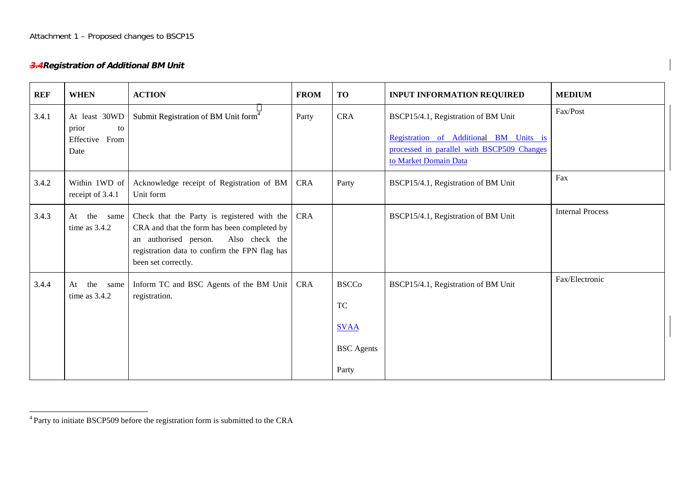## **3.4Registration of Additional BM Unit**

| <b>REF</b> | <b>WHEN</b>                                            | <b>ACTION</b>                                                                                                                                                                                                 | <b>FROM</b> | <b>TO</b>                                                              | <b>INPUT INFORMATION REQUIRED</b>                                                                                                                    | <b>MEDIUM</b>           |
|------------|--------------------------------------------------------|---------------------------------------------------------------------------------------------------------------------------------------------------------------------------------------------------------------|-------------|------------------------------------------------------------------------|------------------------------------------------------------------------------------------------------------------------------------------------------|-------------------------|
| 3.4.1      | At least 30WD<br>prior<br>to<br>Effective From<br>Date | Submit Registration of BM Unit form <sup>4</sup>                                                                                                                                                              | Party       | <b>CRA</b>                                                             | BSCP15/4.1, Registration of BM Unit<br>Registration of Additional BM Units is<br>processed in parallel with BSCP509 Changes<br>to Market Domain Data | Fax/Post                |
| 3.4.2      | Within 1WD of<br>receipt of 3.4.1                      | Acknowledge receipt of Registration of BM<br>Unit form                                                                                                                                                        | <b>CRA</b>  | Party                                                                  | BSCP15/4.1, Registration of BM Unit                                                                                                                  | Fax                     |
| 3.4.3      | the same<br>At<br>time as $3.4.2$                      | Check that the Party is registered with the<br>CRA and that the form has been completed by<br>an authorised person.<br>Also check the<br>registration data to confirm the FPN flag has<br>been set correctly. | <b>CRA</b>  |                                                                        | BSCP15/4.1, Registration of BM Unit                                                                                                                  | <b>Internal Process</b> |
| 3.4.4      | the<br>At<br>same<br>time as $3.4.2$                   | Inform TC and BSC Agents of the BM Unit<br>registration.                                                                                                                                                      | <b>CRA</b>  | <b>BSCCo</b><br><b>TC</b><br><b>SVAA</b><br><b>BSC</b> Agents<br>Party | BSCP15/4.1, Registration of BM Unit                                                                                                                  | Fax/Electronic          |

<sup>4</sup> Party to initiate BSCP509 before the registration form is submitted to the CRA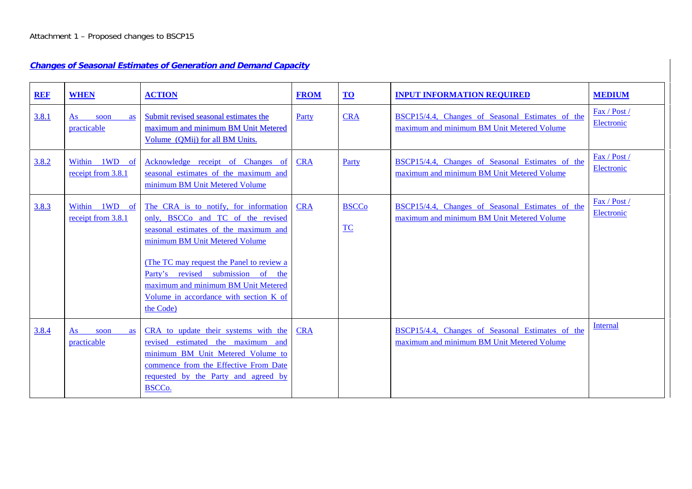## **Changes of Seasonal Estimates of Generation and Demand Capacity**

| <b>REF</b> | <b>WHEN</b>                            | <b>ACTION</b>                                                                                                                                                                                                                                                                                                                         | <b>FROM</b> | $\underline{\mathbf{TO}}$ | <b>INPUT INFORMATION REQUIRED</b>                                                              | <b>MEDIUM</b>              |
|------------|----------------------------------------|---------------------------------------------------------------------------------------------------------------------------------------------------------------------------------------------------------------------------------------------------------------------------------------------------------------------------------------|-------------|---------------------------|------------------------------------------------------------------------------------------------|----------------------------|
| 3.8.1      | As<br>soon<br><b>as</b><br>practicable | Submit revised seasonal estimates the<br>maximum and minimum BM Unit Metered<br>Volume (OMij) for all BM Units.                                                                                                                                                                                                                       | Party       | <b>CRA</b>                | BSCP15/4.4, Changes of Seasonal Estimates of the<br>maximum and minimum BM Unit Metered Volume | Fax / Post /<br>Electronic |
| 3.8.2      | Within 1WD of<br>receipt from 3.8.1    | Acknowledge receipt of Changes of<br>seasonal estimates of the maximum and<br>minimum BM Unit Metered Volume                                                                                                                                                                                                                          | <b>CRA</b>  | Party                     | BSCP15/4.4, Changes of Seasonal Estimates of the<br>maximum and minimum BM Unit Metered Volume | Fax / Post /<br>Electronic |
| 3.8.3      | Within 1WD of<br>receipt from 3.8.1    | The CRA is to notify, for information<br>only, BSCCo and TC of the revised<br>seasonal estimates of the maximum and<br>minimum BM Unit Metered Volume<br>(The TC may request the Panel to review a<br>Party's revised submission of the<br>maximum and minimum BM Unit Metered<br>Volume in accordance with section K of<br>the Code) | <b>CRA</b>  | <b>BSCCo</b><br>TC        | BSCP15/4.4, Changes of Seasonal Estimates of the<br>maximum and minimum BM Unit Metered Volume | Fax / Post /<br>Electronic |
| 3.8.4      | As<br>soon<br>as<br>practicable        | CRA to update their systems with the<br>revised estimated the maximum and<br>minimum BM Unit Metered Volume to<br>commence from the Effective From Date<br>requested by the Party and agreed by<br>BSCC <sub>o</sub> .                                                                                                                | <b>CRA</b>  |                           | BSCP15/4.4, Changes of Seasonal Estimates of the<br>maximum and minimum BM Unit Metered Volume | Internal                   |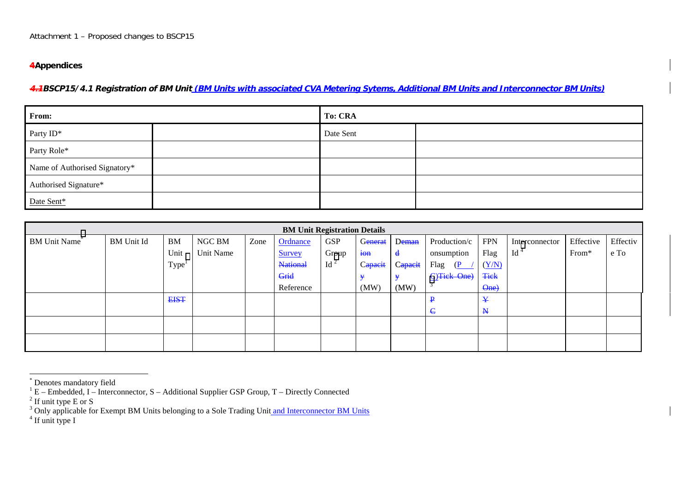## **4Appendices**

4.4BSCP15/4.1 Registration of BM Unit (BM Units with associated CVA Metering Sytems, Additional BM Units and Interconnector BM Units)

| From:                         | <b>To: CRA</b> |  |  |  |  |
|-------------------------------|----------------|--|--|--|--|
| Party ID*                     | Date Sent      |  |  |  |  |
| Party Role*                   |                |  |  |  |  |
| Name of Authorised Signatory* |                |  |  |  |  |
| Authorised Signature*         |                |  |  |  |  |
| Date Sent*                    |                |  |  |  |  |

| <b>BM Unit Registration Details</b> |                   |                   |           |      |                 |                 |             |              |              |              |                 |           |          |
|-------------------------------------|-------------------|-------------------|-----------|------|-----------------|-----------------|-------------|--------------|--------------|--------------|-----------------|-----------|----------|
| <b>BM Unit Name</b>                 | <b>BM</b> Unit Id | <b>BM</b>         | NGC BM    | Zone | Ordnance        | <b>GSP</b>      | Generat     | Deman        | Production/c | <b>FPN</b>   | Interconnector  | Effective | Effectiv |
|                                     |                   | Unit              | Unit Name |      | <b>Survey</b>   | Group           | $i \thetan$ | $\mathbf{d}$ | onsumption   | Flag         | Id <sup>4</sup> | From*     | e To     |
|                                     |                   | Type <sup>1</sup> |           |      | <b>National</b> | $\mathrm{Id}^2$ | Capacit     | Capacit      | Flag<br>(P   | (Y/N)        |                 |           |          |
|                                     |                   |                   |           |      | Grid            |                 | ¥           | ¥            | C)Tick One)  | <b>Tick</b>  |                 |           |          |
|                                     |                   |                   |           |      | Reference       |                 | (MW)        | (MW)         |              | One)         |                 |           |          |
|                                     |                   | <b>EIST</b>       |           |      |                 |                 |             |              | ₽            | ¥            |                 |           |          |
|                                     |                   |                   |           |      |                 |                 |             |              | $\epsilon$   | $\mathbf{N}$ |                 |           |          |
|                                     |                   |                   |           |      |                 |                 |             |              |              |              |                 |           |          |
|                                     |                   |                   |           |      |                 |                 |             |              |              |              |                 |           |          |

<sup>\*</sup> Denotes mandatory field

 $1^1$  E – Embedded, I – Interconnector, S – Additional Supplier GSP Group, T – Directly Connected

 $2$  If unit type E or S

<sup>&</sup>lt;sup>3</sup> Only applicable for Exempt BM Units belonging to a Sole Trading Unit and Interconnector BM Units

 $<sup>4</sup>$  If unit type I</sup>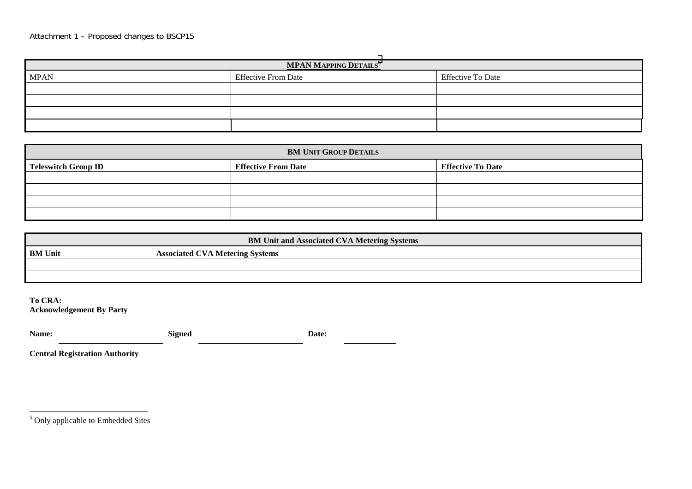| <b>MPAN MAPPING DETAILS<sup>5</sup></b> |                            |                          |  |  |  |
|-----------------------------------------|----------------------------|--------------------------|--|--|--|
| <b>MPAN</b>                             | <b>Effective From Date</b> | <b>Effective To Date</b> |  |  |  |
|                                         |                            |                          |  |  |  |
|                                         |                            |                          |  |  |  |
|                                         |                            |                          |  |  |  |
|                                         |                            |                          |  |  |  |

| <b>BM UNIT GROUP DETAILS</b> |                            |                          |  |  |  |
|------------------------------|----------------------------|--------------------------|--|--|--|
| <b>Teleswitch Group ID</b>   | <b>Effective From Date</b> | <b>Effective To Date</b> |  |  |  |
|                              |                            |                          |  |  |  |
|                              |                            |                          |  |  |  |
|                              |                            |                          |  |  |  |
|                              |                            |                          |  |  |  |

| <b>BM Unit and Associated CVA Metering Systems</b> |                                        |  |  |
|----------------------------------------------------|----------------------------------------|--|--|
| <b>BM</b> Unit                                     | <b>Associated CVA Metering Systems</b> |  |  |
|                                                    |                                        |  |  |
|                                                    |                                        |  |  |

**To CRA: Acknowledgement By Party**

| <b>Signed</b> | Date: |
|---------------|-------|
|               |       |

**Central Registration Authority**

<sup>5</sup> Only applicable to Embedded Sites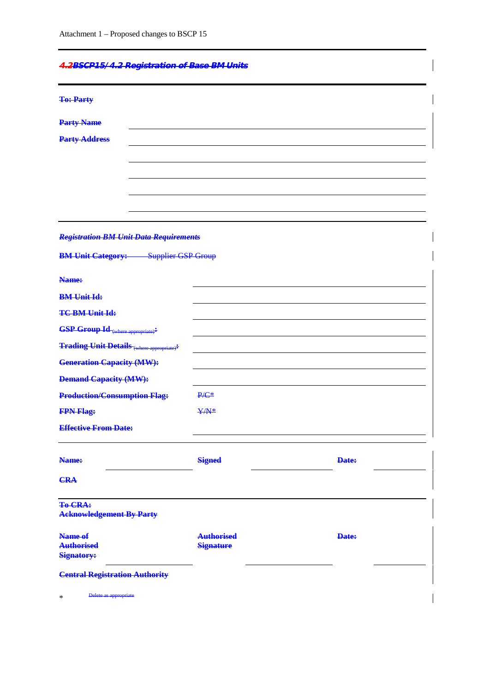| 1.2000015/1.2. Demistration of Pass PM Units               |  |  |
|------------------------------------------------------------|--|--|
| <del>1.20001 107 1.2 Negistration or Dase Divi Units</del> |  |  |

| <b>To: Party</b>                                                                                                                |                   |       |
|---------------------------------------------------------------------------------------------------------------------------------|-------------------|-------|
| <b>Party Name</b>                                                                                                               |                   |       |
| <b>Party Address</b>                                                                                                            |                   |       |
|                                                                                                                                 |                   |       |
|                                                                                                                                 |                   |       |
|                                                                                                                                 |                   |       |
|                                                                                                                                 |                   |       |
|                                                                                                                                 |                   |       |
|                                                                                                                                 |                   |       |
| <b>Registration BM Unit Data Requirements</b>                                                                                   |                   |       |
| <b>BM Unit Category:</b> Supplier GSP Group                                                                                     |                   |       |
| Name:                                                                                                                           |                   |       |
| <b>BM Unit Id:</b>                                                                                                              |                   |       |
| <b>TC-BM-Unit Id:</b>                                                                                                           |                   |       |
| $\textcolor{blue}{\textbf{GSP Group Id}_{\textcolor{blue}{(\text{where appropriate})}}}\textcolor{red}{\boldsymbol{\ddagger}}}$ |                   |       |
| <b>Trading Unit Details (where appropriate)<sup>#</sup></b>                                                                     |                   |       |
| <b>Generation Capacity (MW):</b>                                                                                                |                   |       |
| <b>Demand Capacity (MW):</b>                                                                                                    |                   |       |
| <b>Production/Consumption Flag:</b>                                                                                             | $P/C^*$           |       |
| <b>FPN Flag:</b>                                                                                                                | ¥/N*              |       |
| <b>Effective From Date:</b>                                                                                                     |                   |       |
|                                                                                                                                 |                   |       |
| Name:                                                                                                                           | <b>Signed</b>     | Date: |
| <b>CRA</b>                                                                                                                      |                   |       |
| <b>To-CRA:</b><br><b>Acknowledgement By Party</b>                                                                               |                   |       |
| Name of                                                                                                                         | <b>Authorised</b> | Date: |
| <b>Authorised</b><br><b>Signatory:</b>                                                                                          | <b>Signature</b>  |       |
| <b>Central Registration Authority</b>                                                                                           |                   |       |
| Delete as appropriate<br>$\ast$                                                                                                 |                   |       |

 $\overline{\phantom{a}}$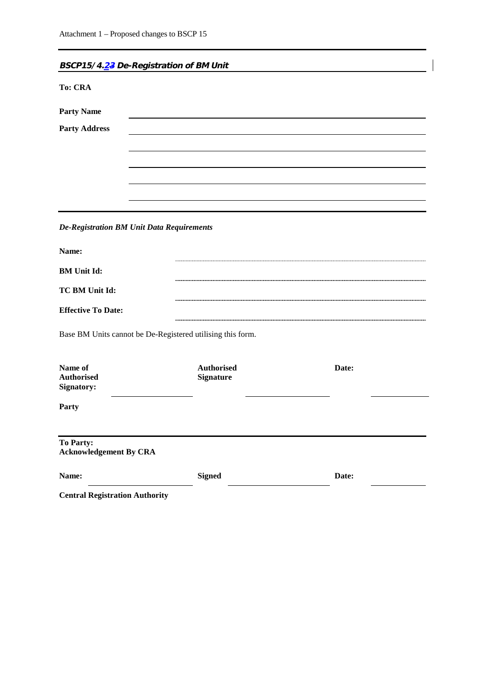| BSCP15/4.23 De-Registration of BM Unit                     |                   |       |  |
|------------------------------------------------------------|-------------------|-------|--|
| <b>To: CRA</b>                                             |                   |       |  |
| <b>Party Name</b>                                          |                   |       |  |
| <b>Party Address</b>                                       |                   |       |  |
|                                                            |                   |       |  |
|                                                            |                   |       |  |
|                                                            |                   |       |  |
|                                                            |                   |       |  |
| <b>De-Registration BM Unit Data Requirements</b>           |                   |       |  |
| Name:                                                      |                   |       |  |
| <b>BM</b> Unit Id:                                         |                   |       |  |
| TC BM Unit Id:                                             |                   |       |  |
| <b>Effective To Date:</b>                                  |                   |       |  |
| Base BM Units cannot be De-Registered utilising this form. |                   |       |  |
| Name of                                                    | <b>Authorised</b> | Date: |  |
| <b>Authorised</b><br>Signatory:                            | <b>Signature</b>  |       |  |
| Party                                                      |                   |       |  |
| To Party:<br><b>Acknowledgement By CRA</b>                 |                   |       |  |
| Name:                                                      | <b>Signed</b>     | Date: |  |
| <b>Central Registration Authority</b>                      |                   |       |  |

 $\overline{\phantom{a}}$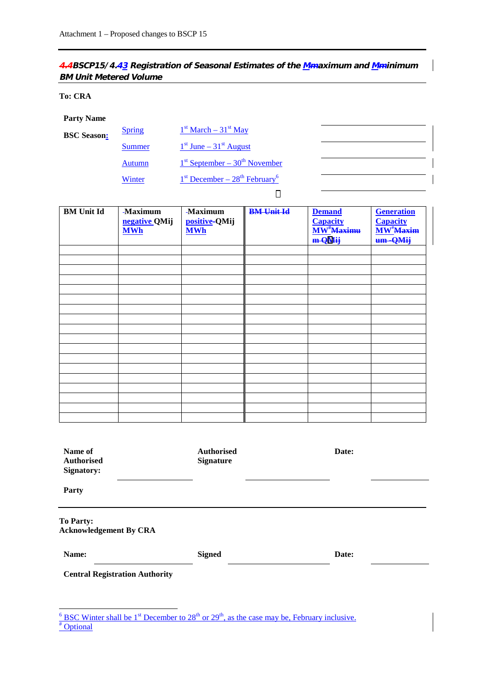## 4.4BSCP15/4.43 Registration of Seasonal Estimates of the Mmaximum and Mminimum **BM Unit Metered Volume**

#### **To: CRA**

#### **Party Name**

| <b>BSC</b> Season: | <b>Spring</b> | $1st March - 31st May$               |
|--------------------|---------------|--------------------------------------|
|                    | Summer        | $1st$ June – 31 <sup>st</sup> August |
|                    | Autumn        | $1st$ September – $30th$ November    |
|                    | Winter        | $1st December - 28th February6$      |

| <b>BM</b> Unit Id | -Maximum<br>negative QMij | -Maximum<br>positive-QMij | <b>BM Unit Id</b> | <b>Demand</b><br><b>Capacity</b>         | <b>Generation</b><br><b>Capacity</b> |
|-------------------|---------------------------|---------------------------|-------------------|------------------------------------------|--------------------------------------|
|                   | <b>MWh</b>                | <b>MWh</b>                |                   | $\overline{\text{MW}^{\#}\text{Maximu}}$ | MW <sup>*</sup> Maxim                |
|                   |                           |                           |                   | m QMij                                   | um-QMij                              |
|                   |                           |                           |                   |                                          |                                      |
|                   |                           |                           |                   |                                          |                                      |
|                   |                           |                           |                   |                                          |                                      |
|                   |                           |                           |                   |                                          |                                      |
|                   |                           |                           |                   |                                          |                                      |
|                   |                           |                           |                   |                                          |                                      |
|                   |                           |                           |                   |                                          |                                      |
|                   |                           |                           |                   |                                          |                                      |
|                   |                           |                           |                   |                                          |                                      |
|                   |                           |                           |                   |                                          |                                      |
|                   |                           |                           |                   |                                          |                                      |
|                   |                           |                           |                   |                                          |                                      |
|                   |                           |                           |                   |                                          |                                      |
|                   |                           |                           |                   |                                          |                                      |
|                   |                           |                           |                   |                                          |                                      |
|                   |                           |                           |                   |                                          |                                      |
|                   |                           |                           |                   |                                          |                                      |
|                   |                           |                           |                   |                                          |                                      |

| Name of<br><b>Authorised</b><br><b>Signatory:</b> | <b>Authorised</b><br><b>Signature</b> | Date: |  |
|---------------------------------------------------|---------------------------------------|-------|--|
| Party                                             |                                       |       |  |
| <b>To Party:</b><br><b>Acknowledgement By CRA</b> |                                       |       |  |
| Name:                                             | <b>Signed</b>                         | Date: |  |
| <b>Central Registration Authority</b>             |                                       |       |  |

 $\frac{6}{\text{BSC Winter shall be 1}}$  becember to 28<sup>th</sup> or 29<sup>th</sup>, as the case may be, February inclusive.<br>
<sup>#</sup> Optional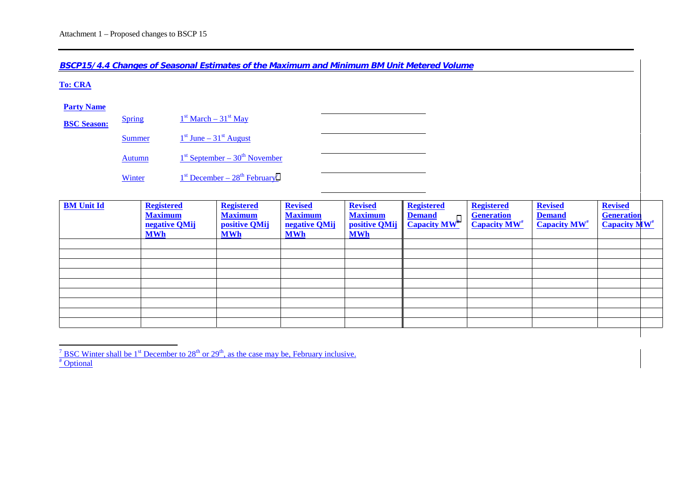**BSCP15/4.4 Changes of Seasonal Estimates of the Maximum and Minimum BM Unit Metered Volume**

#### **To: CRA**

#### **Party Name**

| <b>BSC Season:</b> | <b>Spring</b> | $1st March - 31st May$                        |  |
|--------------------|---------------|-----------------------------------------------|--|
|                    | Summer        | $1st$ June – $31st$ August                    |  |
|                    | <b>Autumn</b> | $1st$ September – 30 <sup>th</sup> November   |  |
|                    | Winter        | $1st$ December – $28th$ February <sup>7</sup> |  |

| <b>BM</b> Unit Id | <b>Registered</b><br><b>Maximum</b><br>negative QMij<br><b>MWh</b> | <b>Registered</b><br><b>Maximum</b><br>positive QMij<br><b>MWh</b> | <b>Revised</b><br><b>Maximum</b><br>negative QMij<br><b>MWh</b> | <b>Revised</b><br><b>Maximum</b><br>positive QMij<br><b>MWh</b> | <b>Registered</b><br><b>Demand</b><br><b>Capacity MW</b> <sup>#</sup> | <b>Registered</b><br><b>Generation</b><br><b>Capacity MW<sup>#</sup></b> | <b>Revised</b><br><b>Demand</b><br><b>Capacity MW<sup>#</sup></b> | <b>Revised</b><br><b>Generation</b><br><b>Capacity MW<sup>#</sup></b> |  |
|-------------------|--------------------------------------------------------------------|--------------------------------------------------------------------|-----------------------------------------------------------------|-----------------------------------------------------------------|-----------------------------------------------------------------------|--------------------------------------------------------------------------|-------------------------------------------------------------------|-----------------------------------------------------------------------|--|
|                   |                                                                    |                                                                    |                                                                 |                                                                 |                                                                       |                                                                          |                                                                   |                                                                       |  |
|                   |                                                                    |                                                                    |                                                                 |                                                                 |                                                                       |                                                                          |                                                                   |                                                                       |  |
|                   |                                                                    |                                                                    |                                                                 |                                                                 |                                                                       |                                                                          |                                                                   |                                                                       |  |
|                   |                                                                    |                                                                    |                                                                 |                                                                 |                                                                       |                                                                          |                                                                   |                                                                       |  |
|                   |                                                                    |                                                                    |                                                                 |                                                                 |                                                                       |                                                                          |                                                                   |                                                                       |  |
|                   |                                                                    |                                                                    |                                                                 |                                                                 |                                                                       |                                                                          |                                                                   |                                                                       |  |
|                   |                                                                    |                                                                    |                                                                 |                                                                 |                                                                       |                                                                          |                                                                   |                                                                       |  |
|                   |                                                                    |                                                                    |                                                                 |                                                                 |                                                                       |                                                                          |                                                                   |                                                                       |  |
|                   |                                                                    |                                                                    |                                                                 |                                                                 |                                                                       |                                                                          |                                                                   |                                                                       |  |
|                   |                                                                    |                                                                    |                                                                 |                                                                 |                                                                       |                                                                          |                                                                   |                                                                       |  |

<sup>&</sup>lt;sup>7</sup> BSC Winter shall be 1<sup>st</sup> December to 28<sup>th</sup> or 29<sup>th</sup>, as the case may be, February inclusive. # Optional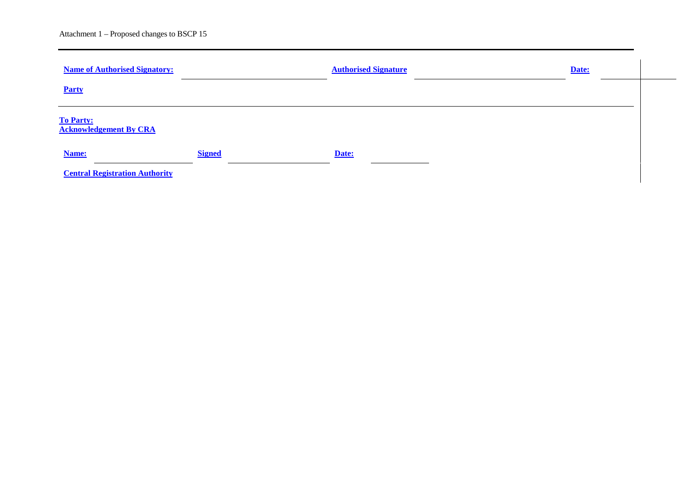| <b>Name of Authorised Signatory:</b>              |               | <b>Authorised Signature</b> | Date: |  |
|---------------------------------------------------|---------------|-----------------------------|-------|--|
| Party                                             |               |                             |       |  |
| <b>To Party:</b><br><b>Acknowledgement By CRA</b> |               |                             |       |  |
| Name:                                             | <b>Signed</b> | Date:                       |       |  |
| <b>Central Registration Authority</b>             |               |                             |       |  |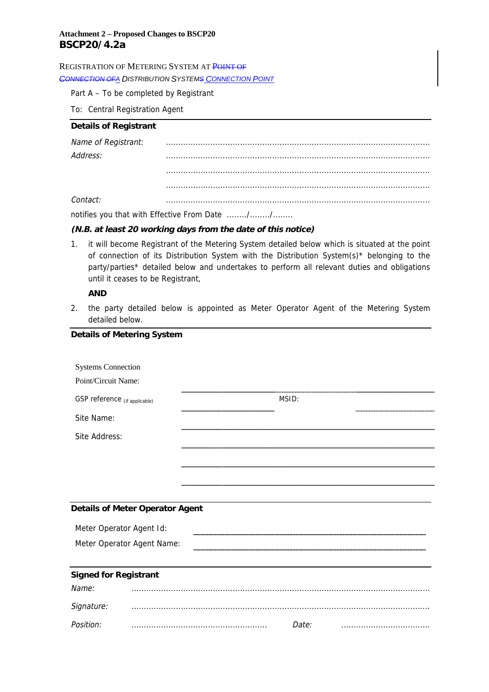#### REGISTRATION OF METERING SYSTEM AT POINT OF

*CONNECTION OFA DISTRIBUTION SYSTEMS CONNECTION POINT*

Part A – To be completed by Registrant

To: Central Registration Agent

#### **Details of Registrant**

| Name of Registrant: |                                                                                                                                                                                                                                                                                                  |
|---------------------|--------------------------------------------------------------------------------------------------------------------------------------------------------------------------------------------------------------------------------------------------------------------------------------------------|
| Address:            |                                                                                                                                                                                                                                                                                                  |
|                     |                                                                                                                                                                                                                                                                                                  |
|                     |                                                                                                                                                                                                                                                                                                  |
| Contact:            |                                                                                                                                                                                                                                                                                                  |
|                     | $\mathbf{r}$ and $\mathbf{r}$ and $\mathbf{r}$ and $\mathbf{r}$ and $\mathbf{r}$ and $\mathbf{r}$ and $\mathbf{r}$ and $\mathbf{r}$ and $\mathbf{r}$ and $\mathbf{r}$ and $\mathbf{r}$ and $\mathbf{r}$ and $\mathbf{r}$ and $\mathbf{r}$ and $\mathbf{r}$ and $\mathbf{r}$ and $\mathbf{r}$ and |

notifies you that with Effective From Date ......../......../........

#### **(N.B. at least 20 working days from the date of this notice)**

1. it will become Registrant of the Metering System detailed below which is situated at the point of connection of its Distribution System with the Distribution System(s)\* belonging to the party/parties\* detailed below and undertakes to perform all relevant duties and obligations until it ceases to be Registrant,

### **AND**

2. the party detailed below is appointed as Meter Operator Agent of the Metering System detailed below.

| <b>Details of Metering System</b> |                                        |       |  |
|-----------------------------------|----------------------------------------|-------|--|
| <b>Systems Connection</b>         |                                        |       |  |
| Point/Circuit Name:               |                                        |       |  |
| GSP reference (if applicable)     |                                        | MSID: |  |
| Site Name:                        |                                        |       |  |
| Site Address:                     |                                        |       |  |
|                                   |                                        |       |  |
|                                   |                                        |       |  |
|                                   |                                        |       |  |
|                                   | <b>Details of Meter Operator Agent</b> |       |  |
| Meter Operator Agent Id:          |                                        |       |  |
|                                   | Meter Operator Agent Name:             |       |  |
|                                   |                                        |       |  |
| <b>Signed for Registrant</b>      |                                        |       |  |
| Name:                             |                                        |       |  |
| Signature:                        |                                        |       |  |
| Position:                         |                                        | Date: |  |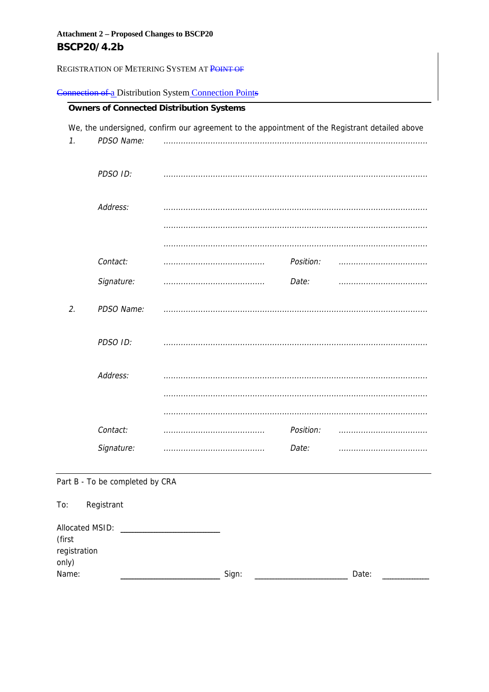registration only)

REGISTRATION OF METERING SYSTEM AT POINT OF

## Connection of a Distribution System Connection Points

|                 |                                 | We, the undersigned, confirm our agreement to the appointment of the Registrant detailed above |           |   |
|-----------------|---------------------------------|------------------------------------------------------------------------------------------------|-----------|---|
| $\mathcal{I}$ . | PDSO Name:                      |                                                                                                |           |   |
|                 | PDSO ID:                        |                                                                                                |           |   |
|                 | Address:                        |                                                                                                |           |   |
|                 |                                 |                                                                                                |           |   |
|                 |                                 |                                                                                                |           |   |
|                 | Contact:                        |                                                                                                | Position: |   |
|                 | Signature:                      |                                                                                                | Date:     | . |
| 2.              | PDSO Name:                      |                                                                                                |           |   |
|                 | PDSO ID:                        |                                                                                                |           |   |
|                 | Address:                        |                                                                                                |           |   |
|                 |                                 |                                                                                                |           |   |
|                 |                                 |                                                                                                |           |   |
|                 | Contact:                        |                                                                                                | Position: |   |
|                 | Signature:                      |                                                                                                | Date:     |   |
|                 | Part B - To be completed by CRA |                                                                                                |           |   |
| To:             | Registrant                      |                                                                                                |           |   |
| (first          |                                 |                                                                                                |           |   |

| Nar |  |  |  |
|-----|--|--|--|
|     |  |  |  |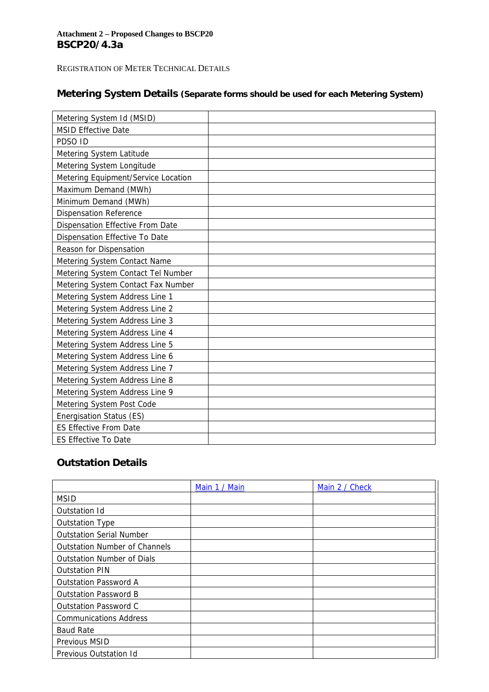## **Attachment 2 – Proposed Changes to BSCP20 BSCP20/4.3a**

## REGISTRATION OF METER TECHNICAL DETAILS

## **Metering System Details (Separate forms should be used for each Metering System)**

| Metering System Id (MSID)           |  |
|-------------------------------------|--|
| <b>MSID Effective Date</b>          |  |
| PDSO ID                             |  |
| Metering System Latitude            |  |
| Metering System Longitude           |  |
| Metering Equipment/Service Location |  |
| Maximum Demand (MWh)                |  |
| Minimum Demand (MWh)                |  |
| <b>Dispensation Reference</b>       |  |
| Dispensation Effective From Date    |  |
| Dispensation Effective To Date      |  |
| Reason for Dispensation             |  |
| Metering System Contact Name        |  |
| Metering System Contact Tel Number  |  |
| Metering System Contact Fax Number  |  |
| Metering System Address Line 1      |  |
| Metering System Address Line 2      |  |
| Metering System Address Line 3      |  |
| Metering System Address Line 4      |  |
| Metering System Address Line 5      |  |
| Metering System Address Line 6      |  |
| Metering System Address Line 7      |  |
| Metering System Address Line 8      |  |
| Metering System Address Line 9      |  |
| Metering System Post Code           |  |
| Energisation Status (ES)            |  |
| <b>ES Effective From Date</b>       |  |
| <b>ES Effective To Date</b>         |  |

## **Outstation Details**

|                                      | Main 1 / Main | Main 2 / Check |
|--------------------------------------|---------------|----------------|
| <b>MSID</b>                          |               |                |
| Outstation Id                        |               |                |
| <b>Outstation Type</b>               |               |                |
| <b>Outstation Serial Number</b>      |               |                |
| <b>Outstation Number of Channels</b> |               |                |
| <b>Outstation Number of Dials</b>    |               |                |
| <b>Outstation PIN</b>                |               |                |
| <b>Outstation Password A</b>         |               |                |
| <b>Outstation Password B</b>         |               |                |
| Outstation Password C                |               |                |
| <b>Communications Address</b>        |               |                |
| <b>Baud Rate</b>                     |               |                |
| Previous MSID                        |               |                |
| Previous Outstation Id               |               |                |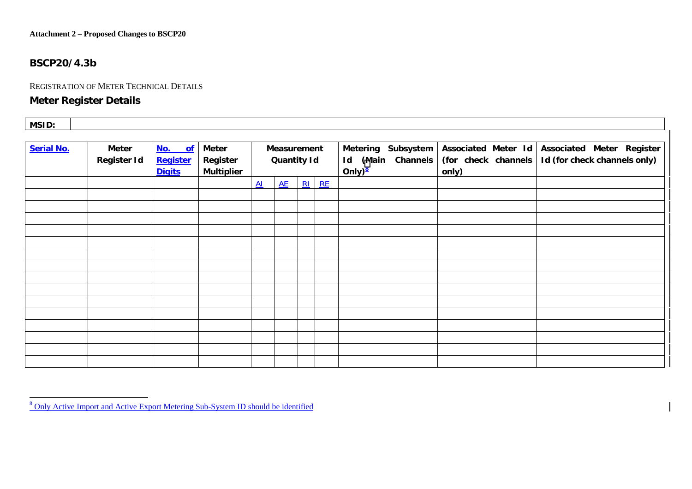#### **Attachment 2 – Proposed Changes to BSCP20**

### **BSCP20/4.3b**

#### REGISTRATION OF METER TECHNICAL DETAILS

## **Meter Register Details**

| MSID: |  |  |  |
|-------|--|--|--|
|-------|--|--|--|

| <b>Serial No.</b> | Meter<br>Register Id | No. of<br>Register<br><b>Digits</b> | Meter<br>Register<br><b>Multiplier</b> |                 | Measurement<br><b>Quantity Id</b> |         | Metering Subsystem<br>Id (Main Channels<br>Only) $\frac{8}{2}$ | Associated Meter Id<br>(for check channels<br>only) | Associated Meter Register<br>Id (for check channels only) |
|-------------------|----------------------|-------------------------------------|----------------------------------------|-----------------|-----------------------------------|---------|----------------------------------------------------------------|-----------------------------------------------------|-----------------------------------------------------------|
|                   |                      |                                     |                                        | $\overline{Al}$ | AE                                | $RI$ RE |                                                                |                                                     |                                                           |
|                   |                      |                                     |                                        |                 |                                   |         |                                                                |                                                     |                                                           |
|                   |                      |                                     |                                        |                 |                                   |         |                                                                |                                                     |                                                           |
|                   |                      |                                     |                                        |                 |                                   |         |                                                                |                                                     |                                                           |
|                   |                      |                                     |                                        |                 |                                   |         |                                                                |                                                     |                                                           |
|                   |                      |                                     |                                        |                 |                                   |         |                                                                |                                                     |                                                           |
|                   |                      |                                     |                                        |                 |                                   |         |                                                                |                                                     |                                                           |
|                   |                      |                                     |                                        |                 |                                   |         |                                                                |                                                     |                                                           |
|                   |                      |                                     |                                        |                 |                                   |         |                                                                |                                                     |                                                           |
|                   |                      |                                     |                                        |                 |                                   |         |                                                                |                                                     |                                                           |
|                   |                      |                                     |                                        |                 |                                   |         |                                                                |                                                     |                                                           |
|                   |                      |                                     |                                        |                 |                                   |         |                                                                |                                                     |                                                           |
|                   |                      |                                     |                                        |                 |                                   |         |                                                                |                                                     |                                                           |
|                   |                      |                                     |                                        |                 |                                   |         |                                                                |                                                     |                                                           |
|                   |                      |                                     |                                        |                 |                                   |         |                                                                |                                                     |                                                           |
|                   |                      |                                     |                                        |                 |                                   |         |                                                                |                                                     |                                                           |

<sup>&</sup>lt;sup>8</sup> Only Active Import and Active Export Metering Sub-System ID should be identified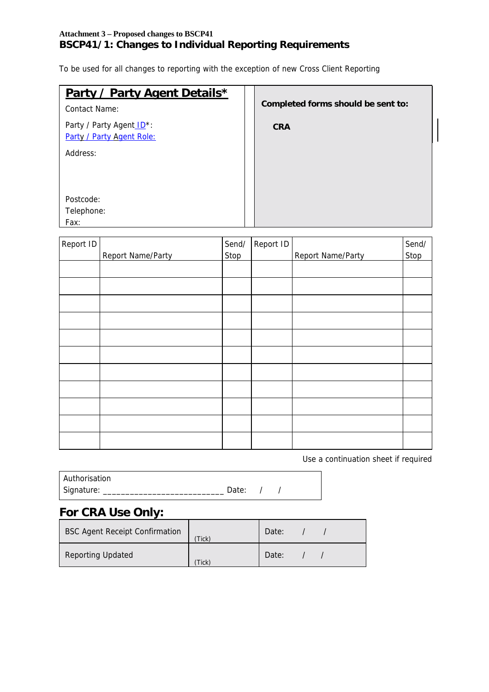## **Attachment 3 – Proposed changes to BSCP41 BSCP41/1: Changes to Individual Reporting Requirements**

To be used for all changes to reporting with the exception of new Cross Client Reporting

| Party / Party Agent Details* | Completed forms should be sent to: |
|------------------------------|------------------------------------|
| Contact Name:                |                                    |
| Party / Party Agent ID*:     | <b>CRA</b>                         |
| Party / Party Agent Role:    |                                    |
| Address:                     |                                    |
|                              |                                    |
|                              |                                    |
| Postcode:                    |                                    |
| Telephone:                   |                                    |
| Fax:                         |                                    |

| Report ID |                   | Send/       | Report ID |                   | Send/       |
|-----------|-------------------|-------------|-----------|-------------------|-------------|
|           | Report Name/Party | <b>Stop</b> |           | Report Name/Party | <b>Stop</b> |
|           |                   |             |           |                   |             |
|           |                   |             |           |                   |             |
|           |                   |             |           |                   |             |
|           |                   |             |           |                   |             |
|           |                   |             |           |                   |             |
|           |                   |             |           |                   |             |
|           |                   |             |           |                   |             |
|           |                   |             |           |                   |             |
|           |                   |             |           |                   |             |
|           |                   |             |           |                   |             |
|           |                   |             |           |                   |             |
|           |                   |             |           |                   |             |

Use a continuation sheet if required

| Authorisation |           |  |
|---------------|-----------|--|
| Signature:    | Date: $/$ |  |

# **For CRA Use Only:**

| <b>BSC Agent Receipt Confirmation</b> | Tick) | Date: |  |
|---------------------------------------|-------|-------|--|
| <b>Reporting Updated</b>              | Tick  | Date: |  |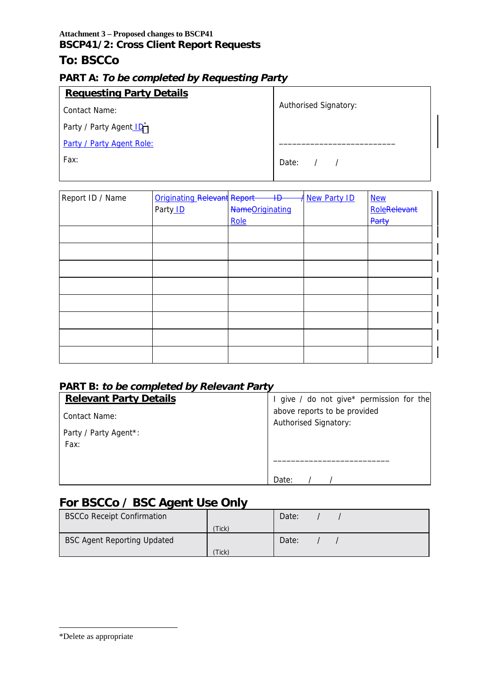## **Attachment 3 – Proposed changes to BSCP41 BSCP41/2: Cross Client Report Requests**

## **To: BSCCo**

## **PART A: To be completed by Requesting Party**

| <b>Requesting Party Details</b>       |                       |
|---------------------------------------|-----------------------|
| Contact Name:                         | Authorised Signatory: |
| Party / Party Agent ID <sup>*</sup> : |                       |
| Party / Party Agent Role:             |                       |
| Fax:                                  | Date: $/$ /           |

| Report ID / Name | <b>Originating Relevant Report</b> | $\overline{4\overline{D}}$ | <b>New Party ID</b> | <b>New</b>   |
|------------------|------------------------------------|----------------------------|---------------------|--------------|
|                  | Party <sub>ID</sub>                | NameOriginating            |                     | RoleRelevant |
|                  |                                    | Role                       |                     | Party        |
|                  |                                    |                            |                     |              |
|                  |                                    |                            |                     |              |
|                  |                                    |                            |                     |              |
|                  |                                    |                            |                     |              |
|                  |                                    |                            |                     |              |
|                  |                                    |                            |                     |              |
|                  |                                    |                            |                     |              |
|                  |                                    |                            |                     |              |

## **PART B: to be completed by Relevant Party**

| <b>Relevant Party Details</b> | give / do not give* permission for the |  |  |  |
|-------------------------------|----------------------------------------|--|--|--|
| Contact Name:                 | above reports to be provided           |  |  |  |
| Party / Party Agent*:<br>Fax: | <b>Authorised Signatory:</b>           |  |  |  |
|                               |                                        |  |  |  |
|                               | Date:                                  |  |  |  |

# **For BSCCo / BSC Agent Use Only**

| <b>BSCCo Receipt Confirmation</b>  |       | Date: |  |
|------------------------------------|-------|-------|--|
|                                    | Tick) |       |  |
| <b>BSC Agent Reporting Updated</b> |       | Date: |  |
|                                    | Tick) |       |  |

-

<sup>\*</sup>Delete as appropriate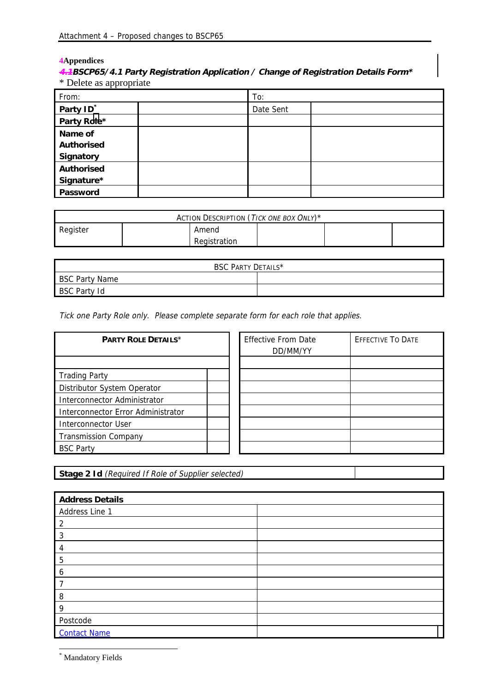#### **4Appendices**

## **4.1BSCP65/4.1 Party Registration Application / Change of Registration Details Form\*** \* Delete as appropriate

| From:                 | To:       |  |
|-----------------------|-----------|--|
| Party ID <sup>*</sup> | Date Sent |  |
| Party Role*           |           |  |
| Name of               |           |  |
| Authorised            |           |  |
| Signatory             |           |  |
| Authorised            |           |  |
| Signature*            |           |  |
| Password              |           |  |

| ACTION DESCRIPTION (TICK ONE BOX ONLY)* |  |              |  |  |  |
|-----------------------------------------|--|--------------|--|--|--|
| Register                                |  | Amend        |  |  |  |
|                                         |  | Registration |  |  |  |

| BSC PARTY DETAILS* |  |  |
|--------------------|--|--|
| BSC Party Name     |  |  |
| BSC Party Id       |  |  |

Tick one Party Role only. Please complete separate form for each role that applies.

| PARTY ROLE DETAILS*                |  | <b>Effective From Date</b><br>DD/MM/YY | <b>EFFECTIVE TO DATE</b> |
|------------------------------------|--|----------------------------------------|--------------------------|
|                                    |  |                                        |                          |
| <b>Trading Party</b>               |  |                                        |                          |
| Distributor System Operator        |  |                                        |                          |
| Interconnector Administrator       |  |                                        |                          |
| Interconnector Error Administrator |  |                                        |                          |
| <b>Interconnector User</b>         |  |                                        |                          |
| <b>Transmission Company</b>        |  |                                        |                          |
| <b>BSC Party</b>                   |  |                                        |                          |

**Stage 2 Id** (Required If Role of Supplier selected)

| <b>Address Details</b> |  |
|------------------------|--|
| Address Line 1         |  |
| 2                      |  |
| 3                      |  |
| 4                      |  |
| 5                      |  |
| 6                      |  |
|                        |  |
| 8                      |  |
| 9                      |  |
| Postcode               |  |
| <b>Contact Name</b>    |  |

\* Mandatory Fields

-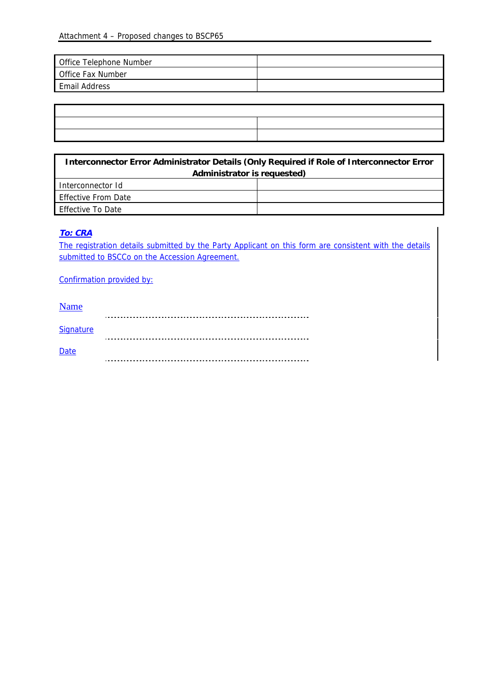| Office Telephone Number  |  |
|--------------------------|--|
| <b>Office Fax Number</b> |  |
| <b>Email Address</b>     |  |

| <u> La componenta de la contrada de la contrada de la contrada de la contrada de la contrada de la contrada de l</u>  |  |
|-----------------------------------------------------------------------------------------------------------------------|--|
|                                                                                                                       |  |
| <u> 1989 - Johann Harry Harry Harry Harry Harry Harry Harry Harry Harry Harry Harry Harry Harry Harry Harry Harry</u> |  |
|                                                                                                                       |  |

 $\overline{\mathbf{1}}$ 

| Interconnector Error Administrator Details (Only Required if Role of Interconnector Error |  |  |
|-------------------------------------------------------------------------------------------|--|--|
| Administrator is requested)                                                               |  |  |
| Interconnector Id                                                                         |  |  |
| <b>Effective From Date</b>                                                                |  |  |
| <b>Effective To Date</b>                                                                  |  |  |

### **To: CRA**

Ī

The registration details submitted by the Party Applicant on this form are consistent with the details submitted to BSCCo on the Accession Agreement.

Confirmation provided by:

| <b>Name</b> |  |
|-------------|--|
|             |  |
| Signature   |  |
|             |  |
| <b>Date</b> |  |
|             |  |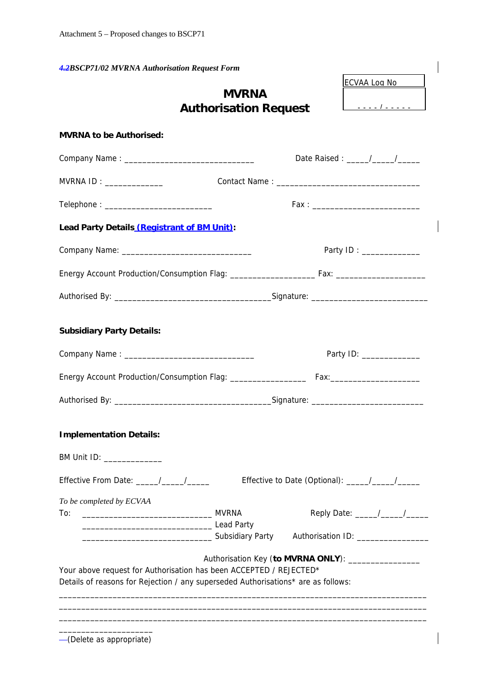*4.2BSCP71/02 MVRNA Authorisation Request Form*

# **MVRNA Authorisation Request**

ECVAA Log No

---- / -----

| <b>MVRNA to be Authorised:</b>                                                                                                                          |                                                      |
|---------------------------------------------------------------------------------------------------------------------------------------------------------|------------------------------------------------------|
|                                                                                                                                                         |                                                      |
| MVRNA ID: ______________                                                                                                                                |                                                      |
|                                                                                                                                                         |                                                      |
| Lead Party Details (Registrant of BM Unit):                                                                                                             |                                                      |
|                                                                                                                                                         | Party ID: _____________                              |
|                                                                                                                                                         |                                                      |
|                                                                                                                                                         |                                                      |
| <b>Subsidiary Party Details:</b>                                                                                                                        |                                                      |
|                                                                                                                                                         | Party ID: ________________                           |
|                                                                                                                                                         |                                                      |
|                                                                                                                                                         |                                                      |
| <b>Implementation Details:</b><br>BM Unit ID: _______________                                                                                           |                                                      |
| Effective From Date: ____/___/____                                                                                                                      |                                                      |
| To be completed by ECVAA<br>To:<br><b>Subsidiary Party</b>                                                                                              | Authorisation ID: _______________                    |
| Your above request for Authorisation has been ACCEPTED / REJECTED*<br>Details of reasons for Rejection / any superseded Authorisations* are as follows: | Authorisation Key (to MVRNA ONLY): _________________ |

(Delete as appropriate)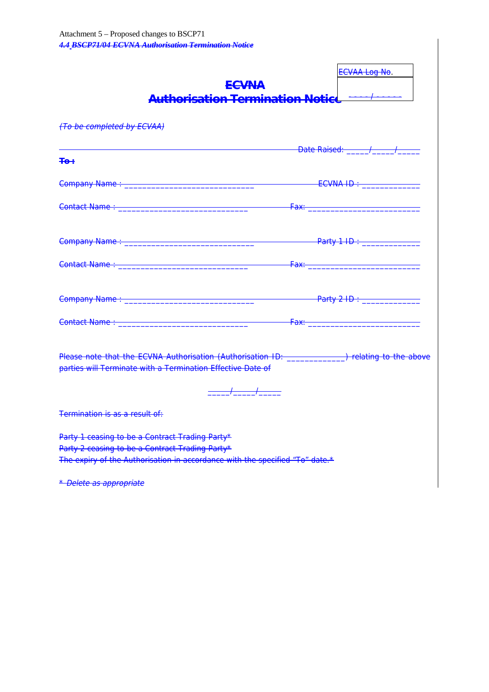| <b>ECVNA</b><br>Authorisation Termination Notice <del>----/-----</del>                                                                                                                                                            | ECVAA Log No.      |
|-----------------------------------------------------------------------------------------------------------------------------------------------------------------------------------------------------------------------------------|--------------------|
| (To be completed by ECVAA)                                                                                                                                                                                                        |                    |
| $+e+$                                                                                                                                                                                                                             | Date Raised: / / / |
|                                                                                                                                                                                                                                   |                    |
|                                                                                                                                                                                                                                   |                    |
|                                                                                                                                                                                                                                   |                    |
|                                                                                                                                                                                                                                   |                    |
|                                                                                                                                                                                                                                   |                    |
|                                                                                                                                                                                                                                   |                    |
| Please note that the ECVNA Authorisation (Authorisation ID: ______________) relating to the above<br>parties will Terminate with a Termination Effective Date of                                                                  |                    |
| Termination is as a result of:                                                                                                                                                                                                    |                    |
| Party 1 ceasing to be a Contract Trading Party*<br>Party 2 ceasing to be a Contract Trading Party*<br>The expiry of the Authorisation in accordance with the specified "To" date.*                                                |                    |
| $\mathbf{a}$ in the contract of the contract of the contract of the contract of the contract of the contract of the contract of the contract of the contract of the contract of the contract of the contract of the contract of t |                    |

\* Delete as appropriate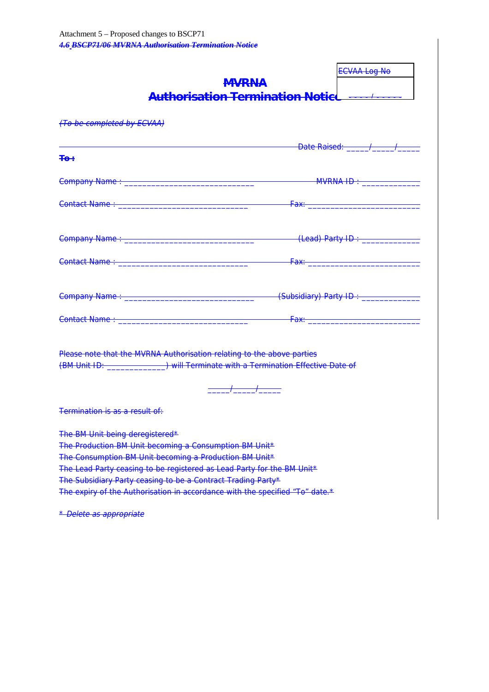| <b>MVRNA</b>                                                                                                                                                                                                                                                                                                                                                                                          | <b>ECVAA Log No</b><br>Authorisation Termination Notiel ------------                                                                                                                                                                |
|-------------------------------------------------------------------------------------------------------------------------------------------------------------------------------------------------------------------------------------------------------------------------------------------------------------------------------------------------------------------------------------------------------|-------------------------------------------------------------------------------------------------------------------------------------------------------------------------------------------------------------------------------------|
| (To be completed by ECVAA)                                                                                                                                                                                                                                                                                                                                                                            |                                                                                                                                                                                                                                     |
| <u> Pate Raised: Allen Ann American Communication of the Based: Allen Ann American Communication of the Allen Ann A</u><br><del>∓o÷</del>                                                                                                                                                                                                                                                             |                                                                                                                                                                                                                                     |
|                                                                                                                                                                                                                                                                                                                                                                                                       |                                                                                                                                                                                                                                     |
|                                                                                                                                                                                                                                                                                                                                                                                                       |                                                                                                                                                                                                                                     |
|                                                                                                                                                                                                                                                                                                                                                                                                       |                                                                                                                                                                                                                                     |
|                                                                                                                                                                                                                                                                                                                                                                                                       |                                                                                                                                                                                                                                     |
|                                                                                                                                                                                                                                                                                                                                                                                                       | (Subsidiary) Party ID: _____________                                                                                                                                                                                                |
| Contact Name : __________________________________                                                                                                                                                                                                                                                                                                                                                     | <b>Fax:</b> The Contract of the Contract of the Contract of the Contract of the Contract of the Contract of the Contract of the Contract of the Contract of the Contract of the Contract of the Contract of the Contract of the Con |
| Please note that the MVRNA Authorisation relating to the above parties<br>(BM Unit ID: Will Terminate with a Termination Effective Date of<br>——/_____/___                                                                                                                                                                                                                                            |                                                                                                                                                                                                                                     |
| <del>Termination is as a result of:</del>                                                                                                                                                                                                                                                                                                                                                             |                                                                                                                                                                                                                                     |
| The BM Unit being deregistered*<br>The Production BM Unit becoming a Consumption BM Unit*<br>The Consumption BM Unit becoming a Production BM Unit*<br>The Lead Party ceasing to be registered as Lead Party for the BM Unit*<br>The Subsidiary Party ceasing to be a Contract Trading Party*<br>The expiry of the Authorisation in accordance with the specified "To" date.*<br>Doloto ac appropriat |                                                                                                                                                                                                                                     |

Delete as appropriate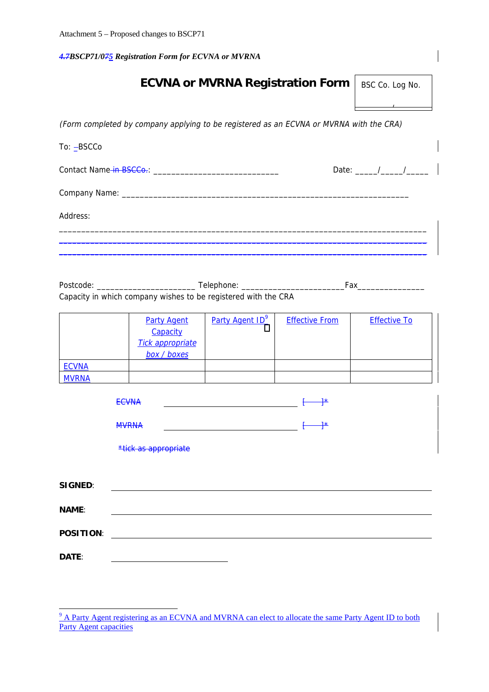*4.7BSCP71/075 Registration Form for ECVNA or MVRNA*

| <b>ECVNA or MVRNA Registration Form</b>                                                 | BSC Co. Log No.            |
|-----------------------------------------------------------------------------------------|----------------------------|
|                                                                                         |                            |
| (Form completed by company applying to be registered as an ECVNA or MVRNA with the CRA) |                            |
| To: -BSCCo                                                                              |                            |
|                                                                                         | Date: $\frac{1}{\sqrt{2}}$ |
|                                                                                         |                            |
| Address:                                                                                |                            |
|                                                                                         |                            |
|                                                                                         |                            |

Postcode: \_\_\_\_\_\_\_\_\_\_\_\_\_\_\_\_\_\_\_\_\_\_ Telephone: \_\_\_\_\_\_\_\_\_\_\_\_\_\_\_\_\_\_\_\_\_\_\_Fax\_\_\_\_\_\_\_\_\_\_\_\_\_\_\_ Capacity in which company wishes to be registered with the CRA

|              | <b>Party Agent</b>      | Party Agent ID <sup>9</sup> | <b>Effective From</b> | <b>Effective To</b> |
|--------------|-------------------------|-----------------------------|-----------------------|---------------------|
|              | Capacity                |                             |                       |                     |
|              | <b>Tick appropriate</b> |                             |                       |                     |
|              | box / boxes             |                             |                       |                     |
| <b>ECVNA</b> |                         |                             |                       |                     |
| <b>MVRNA</b> |                         |                             |                       |                     |

|                  | <b>ECVNA</b>         | $\frac{1}{2}$   |
|------------------|----------------------|-----------------|
|                  | <b>MVRNA</b>         | $\rightarrow^*$ |
|                  | *tick as appropriate |                 |
|                  |                      |                 |
| SIGNED:          |                      |                 |
| NAME:            |                      |                 |
| <b>POSITION:</b> |                      |                 |
| DATE:            |                      |                 |

<sup>&</sup>lt;sup>9</sup> A Party Agent registering as an ECVNA and MVRNA can elect to allocate the same Party Agent ID to both Party Agent capacities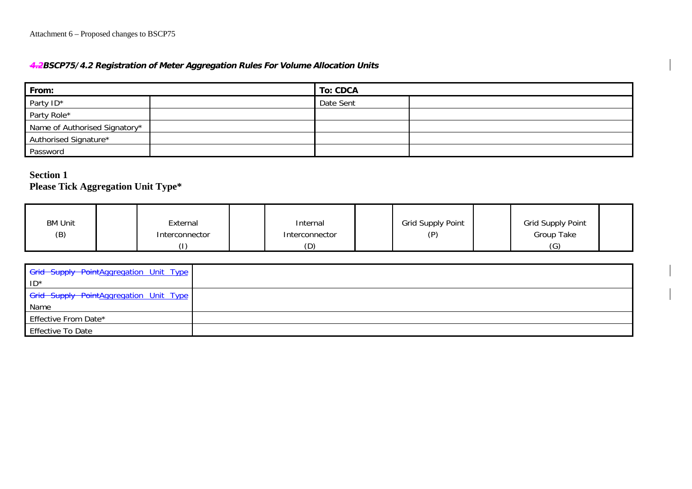## **4.2BSCP75/4.2 Registration of Meter Aggregation Rules For Volume Allocation Units**

| From:                         |  | To: CDCA  |  |  |  |
|-------------------------------|--|-----------|--|--|--|
| Party ID*                     |  | Date Sent |  |  |  |
| Party Role*                   |  |           |  |  |  |
| Name of Authorised Signatory* |  |           |  |  |  |
| Authorised Signature*         |  |           |  |  |  |
| Password                      |  |           |  |  |  |

## **Section 1Please Tick Aggregation Unit Type\***

| <b>BM Unit</b><br>(B) | External<br>Interconnector | Internal<br>Interconnector | Grid Supply Point<br>(P) | Grid Supply Point<br>Group Take |  |
|-----------------------|----------------------------|----------------------------|--------------------------|---------------------------------|--|
|                       |                            | (D)                        |                          | (G)                             |  |

| Grid Supply PointAggregation Unit Type |  |
|----------------------------------------|--|
| $ID^*$                                 |  |
| Grid Supply PointAggregation Unit Type |  |
| Name                                   |  |
| Effective From Date*                   |  |
| <b>Effective To Date</b>               |  |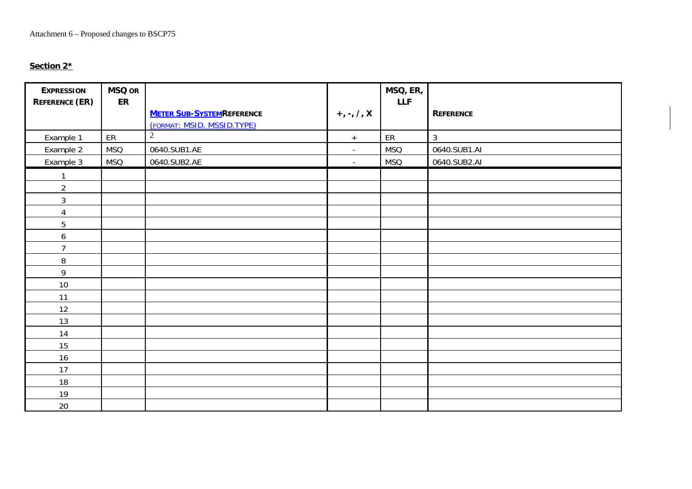#### **Section 2\***

| <b>EXPRESSION</b><br><b>REFERENCE (ER)</b> | <b>MSQ OR</b><br>ER |                                   |                | MSQ, ER,<br><b>LLF</b> |                  |
|--------------------------------------------|---------------------|-----------------------------------|----------------|------------------------|------------------|
|                                            |                     | <b>METER SUB-SYSTEM REFERENCE</b> | $+, -, /, X$   |                        | <b>REFERENCE</b> |
|                                            |                     | (FORMAT: MSID. MSSID.TYPE)        |                |                        |                  |
| Example 1                                  | ER                  | $\overline{2}$                    | $+$            | ER                     | $\mathfrak{Z}$   |
| Example 2                                  | <b>MSQ</b>          | 0640.SUB1.AE                      | $\blacksquare$ | <b>MSQ</b>             | 0640.SUB1.AI     |
| Example 3                                  | <b>MSQ</b>          | 0640.SUB2.AE                      | $\sim$         | <b>MSQ</b>             | 0640.SUB2.AI     |
|                                            |                     |                                   |                |                        |                  |
| $\overline{2}$                             |                     |                                   |                |                        |                  |
| $\sqrt{3}$                                 |                     |                                   |                |                        |                  |
| $\overline{4}$                             |                     |                                   |                |                        |                  |
| 5                                          |                     |                                   |                |                        |                  |
| 6                                          |                     |                                   |                |                        |                  |
| $\overline{7}$                             |                     |                                   |                |                        |                  |
| $\, 8$                                     |                     |                                   |                |                        |                  |
| $\mathsf{q}$                               |                     |                                   |                |                        |                  |
| 10                                         |                     |                                   |                |                        |                  |
| 11                                         |                     |                                   |                |                        |                  |
| 12                                         |                     |                                   |                |                        |                  |
| 13                                         |                     |                                   |                |                        |                  |
| 14                                         |                     |                                   |                |                        |                  |
| 15                                         |                     |                                   |                |                        |                  |
| 16                                         |                     |                                   |                |                        |                  |
| 17                                         |                     |                                   |                |                        |                  |
| 18                                         |                     |                                   |                |                        |                  |
| 19                                         |                     |                                   |                |                        |                  |
| 20                                         |                     |                                   |                |                        |                  |